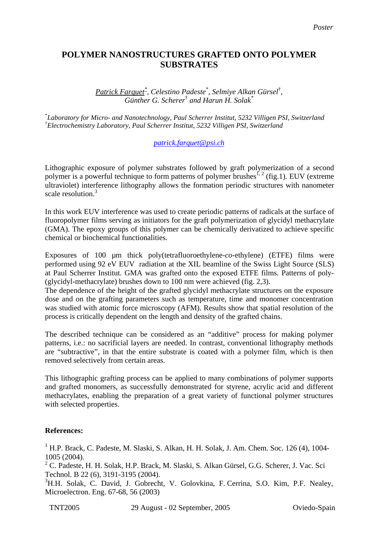## **POLYMER NANOSTRUCTURES GRAFTED ONTO POLYMER SUBSTRATES**

*Patrick Farquet\* , Celestino Padeste\* , Selmiye Alkan Gürsel*† *, Günther G. Scherer*†  *and Harun H. Solak\** 

\* *Laboratory for Micro- and Nanotechnology, Paul Scherrer Institut, 5232 Villigen PSI, Switzerland † Electrochemistry Laboratory, Paul Scherrer Institut, 5232 Villigen PSI, Switzerland* 

## *[patrick.farquet@psi.ch](mailto:patrick.farquett@psi.ch)*

Lithographic exposure of polymer substrates followed by graft polymerization of a second polymer is a powerful technique to form patterns of polymer brushes<sup>1, 2</sup> (fig.1). EUV (extreme ultraviolet) interference lithography allows the formation periodic structures with nanometer scale resolution.<sup>3</sup>

In this work EUV interference was used to create periodic patterns of radicals at the surface of fluoropolymer films serving as initiators for the graft polymerization of glycidyl methacrylate (GMA). The epoxy groups of this polymer can be chemically derivatized to achieve specific chemical or biochemical functionalities.

Exposures of 100 µm thick poly(tetrafluoroethylene-*co*-ethylene) (ETFE) films were performed using 92 eV EUV radiation at the XIL beamline of the Swiss Light Source (SLS) at Paul Scherrer Institut. GMA was grafted onto the exposed ETFE films. Patterns of poly- (glycidyl-methacrylate) brushes down to 100 nm were achieved (fig. 2,3).

The dependence of the height of the grafted glycidyl methacrylate structures on the exposure dose and on the grafting parameters such as temperature, time and monomer concentration was studied with atomic force microscopy (AFM). Results show that spatial resolution of the process is critically dependent on the length and density of the grafted chains.

The described technique can be considered as an "additive" process for making polymer patterns, i.e.: no sacrificial layers are needed. In contrast, conventional lithography methods are "subtractive", in that the entire substrate is coated with a polymer film, which is then removed selectively from certain areas.

This lithographic grafting process can be applied to many combinations of polymer supports and grafted monomers, as successfully demonstrated for styrene, acrylic acid and different methacrylates, enabling the preparation of a great variety of functional polymer structures with selected properties.

## **References:**

<sup>1</sup> H.P. Brack, C. Padeste, M. Slaski, S. Alkan, H. H. Solak, J. Am. Chem. Soc. 126 (4), 1004-1005 (2004).

 $2^2$  C. Padeste, H. H. Solak, H.P. Brack, M. Slaski, S. Alkan Gürsel, G.G. Scherer, J. Vac. Sci Technol. B 22 (6), 3191-3195 (2004).

<sup>3</sup>H.H. Solak, C. David, J. Gobrecht, V. Golovkina, F. Cerrina, S.O. Kim, P.F. Nealey, Microelectron. Eng. 67-68, 56 (2003)

TNT2005 29 August - 02 September, 2005 Oviedo-Spain